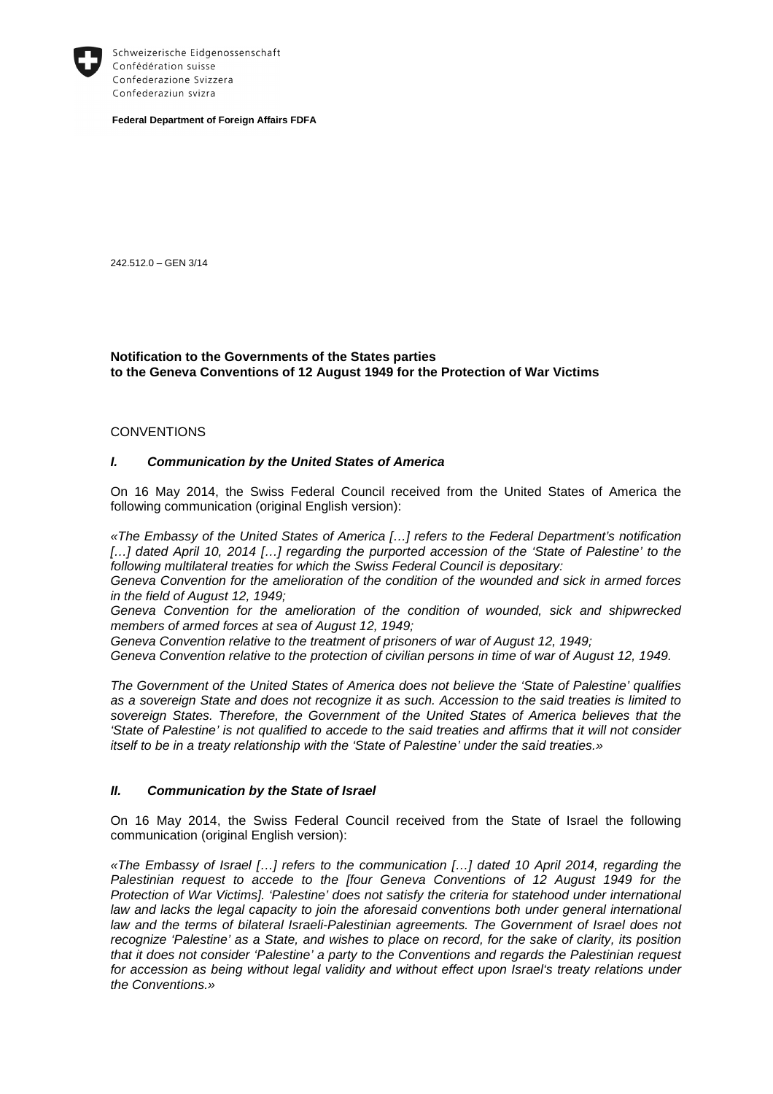

Schweizerische Eidgenossenschaft Confédération suisse Confederazione Svizzera Confederaziun svizra

**Federal Department of Foreign Affairs FDFA** 

242.512.0 – GEN 3/14

### **Notification to the Governments of the States parties to the Geneva Conventions of 12 August 1949 for the Protection of War Victims**

#### **CONVENTIONS**

#### **I. Communication by the United States of America**

On 16 May 2014, the Swiss Federal Council received from the United States of America the following communication (original English version):

«The Embassy of the United States of America […] refers to the Federal Department's notification [...] dated April 10, 2014 [...] regarding the purported accession of the 'State of Palestine' to the following multilateral treaties for which the Swiss Federal Council is depositary:

Geneva Convention for the amelioration of the condition of the wounded and sick in armed forces in the field of August 12, 1949;

Geneva Convention for the amelioration of the condition of wounded, sick and shipwrecked members of armed forces at sea of August 12, 1949;

Geneva Convention relative to the treatment of prisoners of war of August 12, 1949;

Geneva Convention relative to the protection of civilian persons in time of war of August 12, 1949.

The Government of the United States of America does not believe the 'State of Palestine' qualifies as a sovereign State and does not recognize it as such. Accession to the said treaties is limited to sovereign States. Therefore, the Government of the United States of America believes that the 'State of Palestine' is not qualified to accede to the said treaties and affirms that it will not consider itself to be in a treaty relationship with the 'State of Palestine' under the said treaties.»

### **II. Communication by the State of Israel**

On 16 May 2014, the Swiss Federal Council received from the State of Israel the following communication (original English version):

«The Embassy of Israel […] refers to the communication […] dated 10 April 2014, regarding the Palestinian request to accede to the [four Geneva Conventions of 12 August 1949 for the Protection of War Victims]. 'Palestine' does not satisfy the criteria for statehood under international law and lacks the legal capacity to join the aforesaid conventions both under general international law and the terms of bilateral Israeli-Palestinian agreements. The Government of Israel does not recognize 'Palestine' as a State, and wishes to place on record, for the sake of clarity, its position that it does not consider 'Palestine' a party to the Conventions and regards the Palestinian request for accession as being without legal validity and without effect upon Israel's treaty relations under the Conventions.»